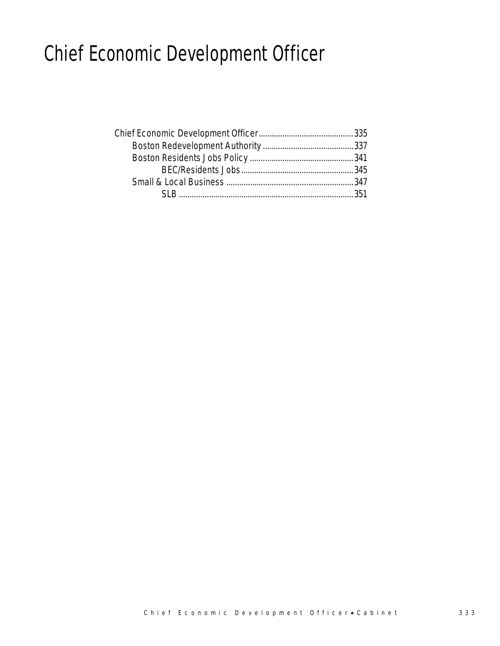# Chief Economic Development Officer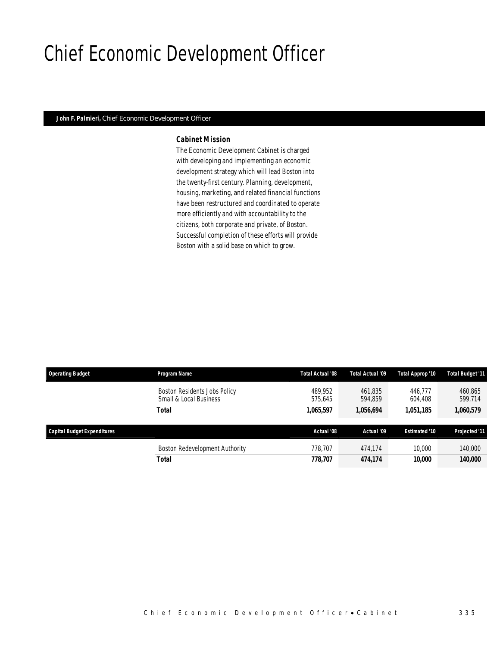# Chief Economic Development Officer

# *John F. Palmieri, Chief Economic Development Officer*

#### *Cabinet Mission*

The Economic Development Cabinet is charged with developing and implementing an economic development strategy which will lead Boston into the twenty-first century. Planning, development, housing, marketing, and related financial functions have been restructured and coordinated to operate more efficiently and with accountability to the citizens, both corporate and private, of Boston. Successful completion of these efforts will provide Boston with a solid base on which to grow.

| <b>Operating Budget</b>            | Program Name                                                  | Total Actual '08   | Total Actual '09   | Total Approp '10     | <b>Total Budget '11</b> |
|------------------------------------|---------------------------------------------------------------|--------------------|--------------------|----------------------|-------------------------|
|                                    | <b>Boston Residents Jobs Policy</b><br>Small & Local Business | 489.952<br>575.645 | 461.835<br>594,859 | 446.777<br>604.408   | 460,865<br>599,714      |
|                                    | <b>Total</b>                                                  | 1,065,597          | 1,056,694          | 1,051,185            | 1,060,579               |
| <b>Capital Budget Expenditures</b> |                                                               | Actual '08         | Actual '09         | <b>Estimated '10</b> | Projected '11           |
|                                    |                                                               |                    |                    |                      |                         |
|                                    | Boston Redevelopment Authority                                | 778.707            | 474.174            | 10,000               | 140,000                 |
|                                    | <b>Total</b>                                                  | 778,707            | 474,174            | 10.000               | 140,000                 |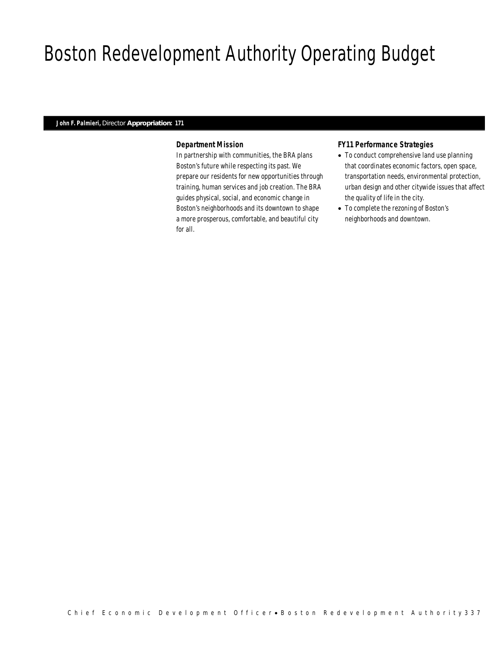# Boston Redevelopment Authority Operating Budget

## *John F. Palmieri, Director Appropriation: 171*

# *Department Mission*

In partnership with communities, the BRA plans Boston's future while respecting its past. We prepare our residents for new opportunities through training, human services and job creation. The BRA guides physical, social, and economic change in Boston's neighborhoods and its downtown to shape a more prosperous, comfortable, and beautiful city for all.

## *FY11 Performance Strategies*

- To conduct comprehensive land use planning that coordinates economic factors, open space, transportation needs, environmental protection, urban design and other citywide issues that affect the quality of life in the city.
- To complete the rezoning of Boston's neighborhoods and downtown.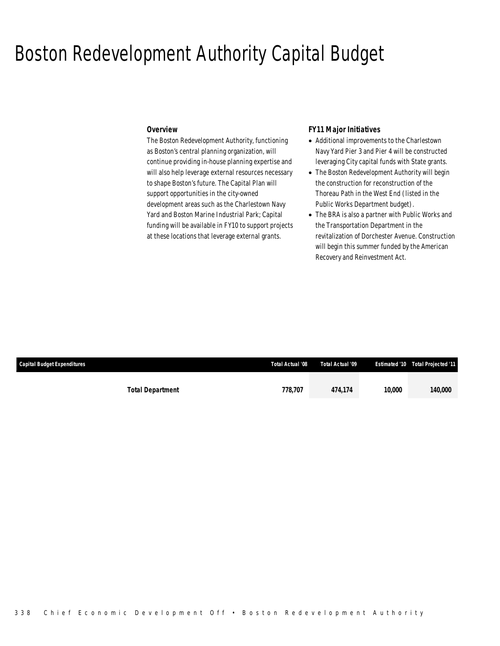# Boston Redevelopment Authority Capital Budget

## *Overview*

The Boston Redevelopment Authority, functioning as Boston's central planning organization, will continue providing in-house planning expertise and will also help leverage external resources necessary to shape Boston's future. The Capital Plan will support opportunities in the city-owned development areas such as the Charlestown Navy Yard and Boston Marine Industrial Park; Capital funding will be available in FY10 to support projects at these locations that leverage external grants.

### *FY11 Major Initiatives*

- Additional improvements to the Charlestown Navy Yard Pier 3 and Pier 4 will be constructed leveraging City capital funds with State grants.
- The Boston Redevelopment Authority will begin the construction for reconstruction of the Thoreau Path in the West End (listed in the Public Works Department budget).
- The BRA is also a partner with Public Works and the Transportation Department in the revitalization of Dorchester Avenue. Construction will begin this summer funded by the American Recovery and Reinvestment Act.

| <b>Capital Budget Expenditures</b> |                  | Total Actual '08 | Total Actual '09 |        | <b>Estimated '10 Total Projected '11</b> |
|------------------------------------|------------------|------------------|------------------|--------|------------------------------------------|
|                                    |                  |                  |                  |        |                                          |
|                                    | Total Department | 778.707          | 474.174          | 10.000 | <i><b>140,000</b></i>                    |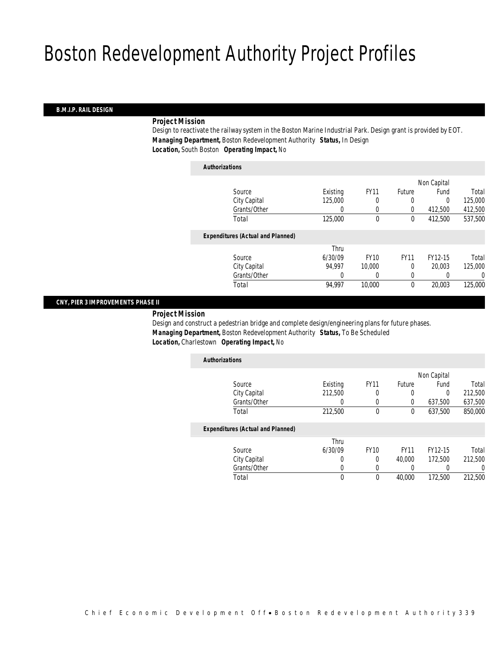# Boston Redevelopment Authority Project Profiles

## *B.M.I.P. RAIL DESIGN*

## *Project Mission*

Design to reactivate the railway system in the Boston Marine Industrial Park. Design grant is provided by EOT. *Managing Department,* Boston Redevelopment Authority *Status,* In Design *Location,* South Boston *Operating Impact,* No

## *Authorizations* Source **Existing** FY11 Future Non Capital Fund Total City Capital 125,000 0 0 0 125,000 Grants/Other 0 0 0 412,500 412,500 Total 125,000 0 0 412,500 537,500*Expenditures (Actual and Planned)* Source Thru 6/30/09 FY10 FY11 FY12-15 Total City Capital 94,997 10,000 0 20,003 125,000 Grants/Other 0 0 0 0 0 0 Total 94,997 10,000 0 20,003 125,000

## *CNY, PIER 3 IMPROVEMENTS PHASE II*

*Project Mission* 

Design and construct a pedestrian bridge and complete design/engineering plans for future phases. *Managing Department,* Boston Redevelopment Authority *Status,* To Be Scheduled *Location,* Charlestown *Operating Impact,* No

| <b>Authorizations</b>                    |          |             |             |             |         |
|------------------------------------------|----------|-------------|-------------|-------------|---------|
|                                          |          |             |             | Non Capital |         |
| Source                                   | Existing | <b>FY11</b> | Future      | Fund        | Total   |
| City Capital                             | 212,500  | 0           | 0           | $\Omega$    | 212,500 |
| Grants/Other                             | 0        | $\left($    | $\Omega$    | 637,500     | 637,500 |
| Total                                    | 212,500  | 0           | 0           | 637,500     | 850,000 |
| <b>Expenditures (Actual and Planned)</b> |          |             |             |             |         |
|                                          | Thru     |             |             |             |         |
| Source                                   | 6/30/09  | <b>FY10</b> | <b>FY11</b> | FY12-15     | Total   |
| City Capital                             | 0        | 0           | 40,000      | 172,500     | 212,500 |
| Grants/Other                             | 0        | 0           | 0           |             |         |
| Total                                    | 0        | 0           | 40,000      | 172,500     | 212,500 |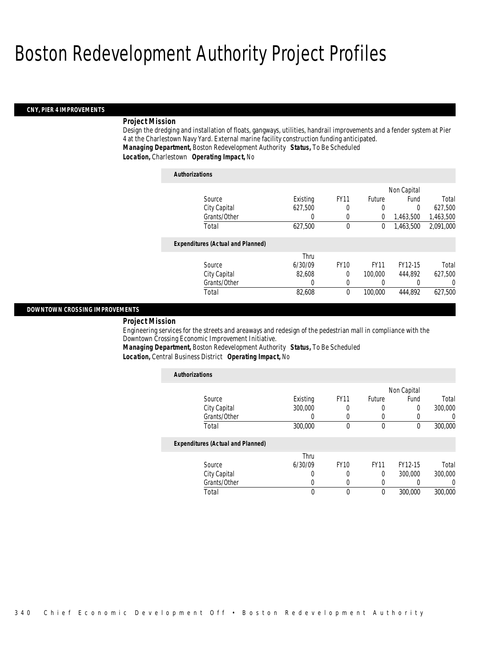# Boston Redevelopment Authority Project Profiles

#### *CNY, PIER 4 IMPROVEMENTS*

### *Project Mission*

Design the dredging and installation of floats, gangways, utilities, handrail improvements and a fender system at Pier 4 at the Charlestown Navy Yard. External marine facility construction funding anticipated. *Managing Department,* Boston Redevelopment Authority *Status,* To Be Scheduled *Location,* Charlestown *Operating Impact,* No

| <b>Authorizations</b>                    |          |             |             |             |           |
|------------------------------------------|----------|-------------|-------------|-------------|-----------|
|                                          |          |             |             | Non Capital |           |
| Source                                   | Existing | <b>FY11</b> | Future      | Fund        | Total     |
| City Capital                             | 627.500  | 0           | 0           | 0           | 627,500   |
| Grants/Other                             | 0        | 0           | 0           | 1,463,500   | 1,463,500 |
| Total                                    | 627,500  | 0           | 0           | 1.463.500   | 2,091,000 |
| <b>Expenditures (Actual and Planned)</b> |          |             |             |             |           |
|                                          | Thru     |             |             |             |           |
| Source                                   | 6/30/09  | <b>FY10</b> | <b>FY11</b> | FY12-15     | Total     |
| City Capital                             | 82.608   | 0           | 100,000     | 444.892     | 627.500   |
| Grants/Other                             | 0        | 0           | 0           |             | $\Omega$  |
| Total                                    | 82,608   | 0           | 100,000     | 444.892     | 627,500   |

### *DOWNTOWN CROSSING IMPROVEMENTS*

*Project Mission* 

Engineering services for the streets and areaways and redesign of the pedestrian mall in compliance with the Downtown Crossing Economic Improvement Initiative.

*Managing Department,* Boston Redevelopment Authority *Status,* To Be Scheduled

*Location,* Central Business District *Operating Impact,* No

| <b>Authorizations</b>                    |          |             |               |             |         |
|------------------------------------------|----------|-------------|---------------|-------------|---------|
|                                          |          |             |               | Non Capital |         |
| Source                                   | Existing | <b>FY11</b> | <b>Future</b> | Fund        | Total   |
| City Capital                             | 300,000  |             | 0             | 0           | 300,000 |
| Grants/Other                             | 0        | $\Omega$    | 0             | 0           | 0       |
| Total                                    | 300,000  | $\theta$    | $\mathbf 0$   | 0           | 300,000 |
| <b>Expenditures (Actual and Planned)</b> |          |             |               |             |         |
|                                          | Thru     |             |               |             |         |
| Source                                   | 6/30/09  | <b>FY10</b> | <b>FY11</b>   | FY12-15     | Total   |
| City Capital                             |          |             | 0             | 300,000     | 300,000 |
| Grants/Other                             |          | $\left($    |               |             | 0       |
| Total                                    | 0        | 0           | $\theta$      | 300,000     | 300,000 |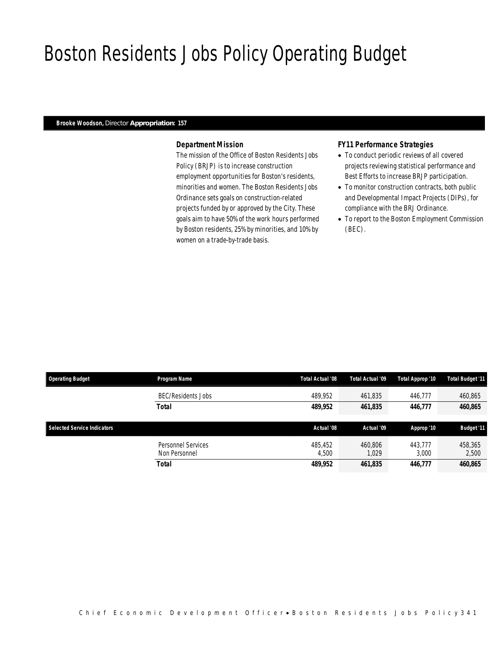# Boston Residents Jobs Policy Operating Budget

## *Brooke Woodson, Director Appropriation: 157*

## *Department Mission*

The mission of the Office of Boston Residents Jobs Policy (BRJP) is to increase construction employment opportunities for Boston's residents, minorities and women. The Boston Residents Jobs Ordinance sets goals on construction-related projects funded by or approved by the City. These goals aim to have 50% of the work hours performed by Boston residents, 25% by minorities, and 10% by women on a trade-by-trade basis.

## *FY11 Performance Strategies*

- To conduct periodic reviews of all covered projects reviewing statistical performance and Best Efforts to increase BRJP participation.
- To monitor construction contracts, both public and Developmental Impact Projects (DIPs), for compliance with the BRJ Ordinance.
- To report to the Boston Employment Commission (BEC).

| <b>Operating Budget</b>            | <b>Program Name</b>                 | Total Actual '08 | Total Actual '09 | Total Approp '10 | <b>Total Budget '11</b> |
|------------------------------------|-------------------------------------|------------------|------------------|------------------|-------------------------|
|                                    | <b>BEC/Residents Jobs</b>           | 489.952          | 461.835          | 446.777          | 460,865                 |
|                                    | <b>Total</b>                        | 489.952          | 461,835          | 446,777          | 460,865                 |
| <b>Selected Service Indicators</b> |                                     | Actual '08       | Actual '09       | Approp '10       | <b>Budget '11</b>       |
|                                    |                                     |                  |                  |                  |                         |
|                                    | Personnel Services<br>Non Personnel | 485,452<br>4,500 | 460.806<br>1.029 | 443.777<br>3,000 | 458,365<br>2,500        |
|                                    | <b>Total</b>                        | 489,952          | 461,835          | 446,777          | 460,865                 |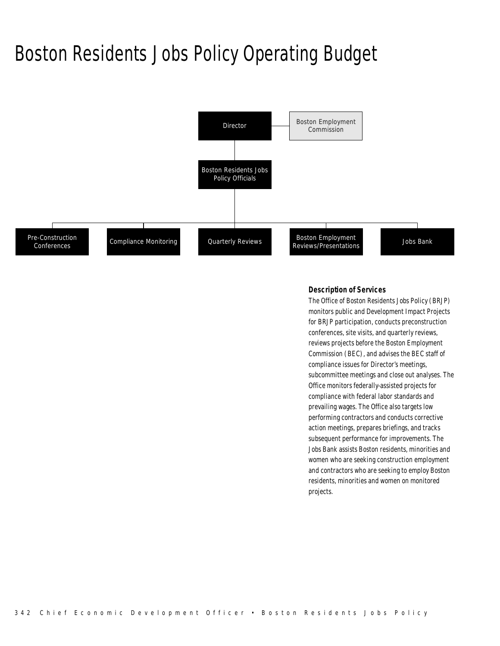# Boston Residents Jobs Policy Operating Budget



#### *Description of Services*

The Office of Boston Residents Jobs Policy (BRJP) monitors public and Development Impact Projects for BRJP participation, conducts preconstruction conferences, site visits, and quarterly reviews, reviews projects before the Boston Employment Commission (BEC), and advises the BEC staff of compliance issues for Director's meetings, subcommittee meetings and close out analyses. The Office monitors federally-assisted projects for compliance with federal labor standards and prevailing wages. The Office also targets low performing contractors and conducts corrective action meetings, prepares briefings, and tracks subsequent performance for improvements. The Jobs Bank assists Boston residents, minorities and women who are seeking construction employment and contractors who are seeking to employ Boston residents, minorities and women on monitored projects.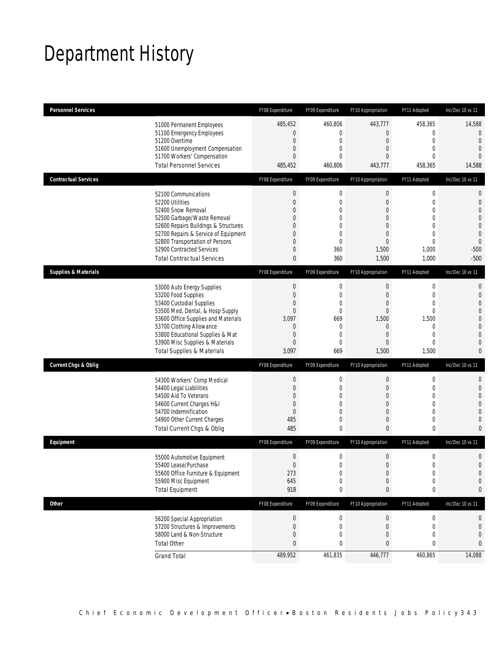# Department History

| <b>Personnel Services</b>       |                                                                         | FY08 Expenditure                | FY09 Expenditure            | FY10 Appropriation           | FY11 Adopted                 | Inc/Dec 10 vs 11                 |
|---------------------------------|-------------------------------------------------------------------------|---------------------------------|-----------------------------|------------------------------|------------------------------|----------------------------------|
|                                 | 51000 Permanent Employees                                               | 485,452                         | 460,806                     | 443,777                      | 458,365                      | 14,588                           |
|                                 | 51100 Emergency Employees                                               | 0                               | $\mathbf 0$                 | 0                            | 0                            | $\mathbf 0$                      |
|                                 | 51200 Overtime                                                          | $\mathbf 0$                     | $\boldsymbol{0}$            | $\boldsymbol{0}$             | $\mathbf 0$                  | $\overline{0}$                   |
|                                 | 51600 Unemployment Compensation<br>51700 Workers' Compensation          | 0<br>$\overline{0}$             | 0<br>$\theta$               | $\mathbf{0}$<br>$\mathbf{0}$ | $\mathbf{0}$<br>$\mathbf{0}$ | $\overline{0}$<br>$\overline{0}$ |
|                                 | <b>Total Personnel Services</b>                                         | 485,452                         | 460,806                     | 443,777                      | 458,365                      | 14,588                           |
| <b>Contractual Services</b>     |                                                                         | FY08 Expenditure                | FY09 Expenditure            | FY10 Appropriation           | FY11 Adopted                 | Inc/Dec 10 vs 11                 |
|                                 | 52100 Communications                                                    | $\boldsymbol{0}$                | $\boldsymbol{0}$            | $\boldsymbol{0}$             | $\boldsymbol{0}$             | $\mathbf 0$                      |
|                                 | 52200 Utilities                                                         | $\overline{0}$                  | $\boldsymbol{0}$            | $\mathbf{0}$                 | $\mathbf 0$                  | $\mathbf 0$                      |
|                                 | 52400 Snow Removal                                                      | $\Omega$                        | $\mathbf{0}$                | $\mathbf{0}$                 | $\mathbf{0}$                 | $\mathbf{0}$                     |
|                                 | 52500 Garbage/Waste Removal                                             | $\overline{0}$                  | 0                           | $\mathbf 0$                  | $\mathbf{0}$                 | $\mathbf{0}$                     |
|                                 | 52600 Repairs Buildings & Structures                                    | $\Omega$                        | 0                           | $\mathbf{0}$                 | $\mathbf{0}$                 | $\mathbf 0$                      |
|                                 | 52700 Repairs & Service of Equipment<br>52800 Transportation of Persons | 0<br>$\overline{0}$             | $\boldsymbol{0}$<br>0       | $\mathbf{0}$<br>$\mathbf{0}$ | $\mathbf 0$<br>$\mathbf{0}$  | $\mathbf{0}$<br>$\mathbf 0$      |
|                                 | 52900 Contracted Services                                               | $\overline{0}$                  | 360                         | 1,500                        | 1,000                        | $-500$                           |
|                                 | <b>Total Contractual Services</b>                                       | 0                               | 360                         | 1,500                        | 1,000                        | $-500$                           |
| <b>Supplies &amp; Materials</b> |                                                                         | FY08 Expenditure                | FY09 Expenditure            | FY10 Appropriation           | FY11 Adopted                 | Inc/Dec 10 vs 11                 |
|                                 | 53000 Auto Energy Supplies                                              | $\boldsymbol{0}$                | $\boldsymbol{0}$            | $\boldsymbol{0}$             | $\mathbf 0$                  | $\mathbf{0}$                     |
|                                 | 53200 Food Supplies                                                     | $\mathbf 0$                     | $\boldsymbol{0}$            | $\mathbf{0}$                 | $\mathbf 0$                  | $\mathbf{0}$                     |
|                                 | 53400 Custodial Supplies                                                | $\overline{0}$                  | 0                           | $\mathbf{0}$                 | $\mathbf{0}$                 | $\overline{0}$                   |
|                                 | 53500 Med, Dental, & Hosp Supply                                        | $\mathbf 0$                     | $\boldsymbol{0}$            | $\boldsymbol{0}$             | $\mathbf{0}$                 | $\overline{0}$                   |
|                                 | 53600 Office Supplies and Materials                                     | 3,097                           | 669                         | 1,500                        | 1,500                        | $\mathbf 0$                      |
|                                 | 53700 Clothing Allowance                                                | $\mathbf{0}$                    | $\mathbf 0$                 | 0                            | 0                            | $\overline{0}$                   |
|                                 | 53800 Educational Supplies & Mat<br>53900 Misc Supplies & Materials     | 0<br>$\overline{0}$             | $\mathbf 0$<br>$\mathbf{0}$ | $\mathbf{0}$<br>$\mathbf{0}$ | $\mathbf{0}$<br>$\mathbf{0}$ | $\mathbf{0}$<br>$\overline{0}$   |
|                                 | <b>Total Supplies &amp; Materials</b>                                   | 3,097                           | 669                         | 1,500                        | 1,500                        | $\mathbf{0}$                     |
| <b>Current Chgs &amp; Oblig</b> |                                                                         | FY08 Expenditure                | FY09 Expenditure            | FY10 Appropriation           | FY11 Adopted                 | Inc/Dec 10 vs 11                 |
|                                 | 54300 Workers' Comp Medical                                             | $\boldsymbol{0}$                | $\boldsymbol{0}$            | $\boldsymbol{0}$             | $\boldsymbol{0}$             | $\mathbf{0}$                     |
|                                 | 54400 Legal Liabilities                                                 | $\mathbf 0$                     | $\boldsymbol{0}$            | $\mathbf{0}$                 | $\mathbf 0$                  | $\mathbf{0}$                     |
|                                 | 54500 Aid To Veterans                                                   | $\overline{0}$                  | 0                           | $\mathbf{0}$                 | $\mathbf{0}$                 | $\overline{0}$                   |
|                                 | 54600 Current Charges H&I                                               | $\mathbf 0$                     | 0                           | $\mathbf{0}$                 | $\mathbf 0$                  | $\overline{0}$                   |
|                                 | 54700 Indemnification                                                   | $\mathbf 0$                     | $\mathbf{0}$                | $\mathbf{0}$                 | $\mathbf{0}$                 | $\mathbf 0$                      |
|                                 | 54900 Other Current Charges                                             | 485                             | $\mathbf 0$                 | $\mathbf{0}$                 | $\mathbf 0$                  | $\mathbf{0}$                     |
|                                 | Total Current Chgs & Oblig                                              | 485                             | 0                           | $\mathbf{0}$                 | $\mathbf{0}$                 | $\overline{0}$                   |
| Equipment                       |                                                                         | FY08 Expenditure                | FY09 Expenditure            | FY10 Appropriation           | FY11 Adopted                 | Inc/Dec 10 vs 11                 |
|                                 | 55000 Automotive Equipment                                              | $\boldsymbol{0}$                | $\boldsymbol{0}$            | $\mathbf 0$                  | $\mathbf 0$                  | $\mathbf 0$                      |
|                                 | 55400 Lease/Purchase                                                    | $\overline{0}$                  | $\Omega$                    | $\overline{0}$               | $\mathbf{0}$                 | $\overline{0}$                   |
|                                 | 55600 Office Furniture & Equipment                                      | 273                             | 0                           | $\boldsymbol{0}$             | $\mathbf 0$                  | $\mathbf 0$                      |
|                                 | 55900 Misc Equipment<br><b>Total Equipment</b>                          | 645<br>918                      | 0<br>0                      | $\boldsymbol{0}$<br>0        | $\mathbf 0$<br>0             | $\mathbf 0$<br>0                 |
| <b>Other</b>                    |                                                                         | FY08 Expenditure                | FY09 Expenditure            | FY10 Appropriation           | FY11 Adopted                 | Inc/Dec 10 vs 11                 |
|                                 |                                                                         |                                 |                             |                              |                              |                                  |
|                                 | 56200 Special Appropriation                                             | $\boldsymbol{0}$                | $\pmb{0}$                   | $\boldsymbol{0}$             | $\boldsymbol{0}$             | 0                                |
|                                 | 57200 Structures & Improvements<br>58000 Land & Non-Structure           | $\boldsymbol{0}$<br>$\mathbf 0$ | 0<br>0                      | 0<br>$\boldsymbol{0}$        | 0<br>$\mathbf 0$             | $\mathbf 0$<br>$\mathbf 0$       |
|                                 | <b>Total Other</b>                                                      | 0                               | 0                           | 0                            | 0                            | 0                                |
|                                 | <b>Grand Total</b>                                                      | 489,952                         | 461,835                     | 446,777                      | 460,865                      | 14,088                           |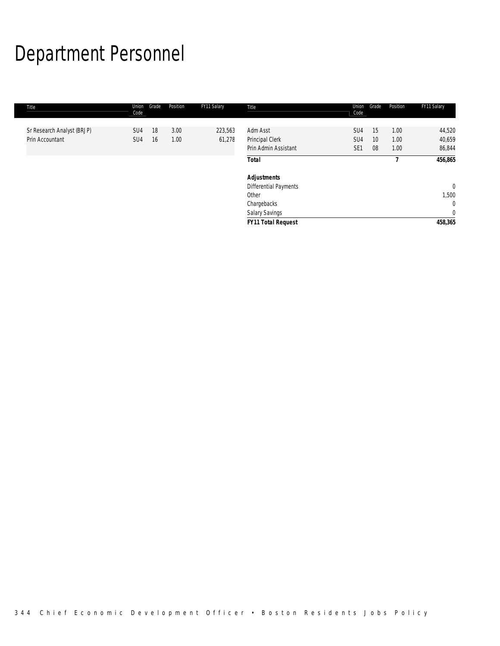# Department Personnel

| Title                                         | Union<br>Code                      | Grade    | Position     | FY11 Salary       | Title                        | Union<br>Code          | Grade    | Position     | FY11 Salary      |
|-----------------------------------------------|------------------------------------|----------|--------------|-------------------|------------------------------|------------------------|----------|--------------|------------------|
| Sr Research Analyst (BRJP)<br>Prin Accountant | SU <sub>4</sub><br>SU <sub>4</sub> | 18<br>16 | 3.00<br>1.00 | 223,563<br>61,278 | Adm Asst<br>Principal Clerk  | SU4<br>SU <sub>4</sub> | 15<br>10 | 1.00<br>1.00 | 44,520<br>40,659 |
|                                               |                                    |          |              |                   | Prin Admin Assistant         | SE <sub>1</sub>        | 08       | 1.00         | 86,844           |
|                                               |                                    |          |              |                   | <b>Total</b>                 |                        |          | 7            | 456,865          |
|                                               |                                    |          |              |                   | <b>Adjustments</b>           |                        |          |              |                  |
|                                               |                                    |          |              |                   | <b>Differential Payments</b> |                        |          |              | $\overline{0}$   |
|                                               |                                    |          |              |                   | Other                        |                        |          |              | 1,500            |
|                                               |                                    |          |              |                   | Chargebacks                  |                        |          |              | $\mathbf{0}$     |
|                                               |                                    |          |              |                   | Salary Savings               |                        |          |              | $\mathbf 0$      |
|                                               |                                    |          |              |                   | <b>FY11 Total Request</b>    |                        |          |              | 458,365          |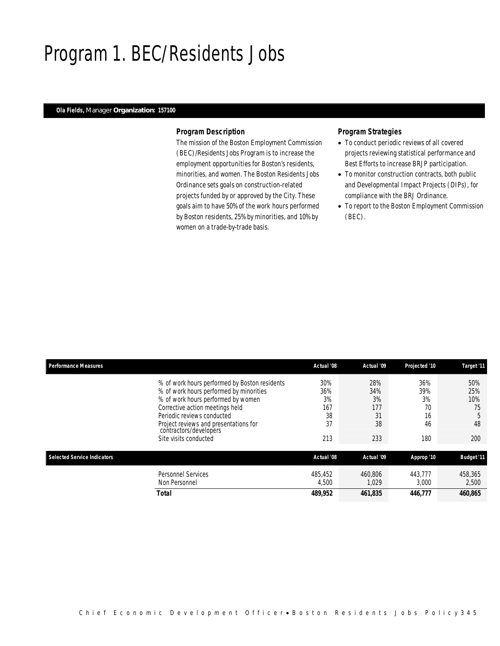# Program 1. BEC/Residents Jobs

## *Ola Fields, Manager Organization: 157100*

### *Program Description*

The mission of the Boston Employment Commission (BEC)/Residents Jobs Program is to increase the employment opportunities for Boston's residents, minorities, and women. The Boston Residents Jobs Ordinance sets goals on construction-related projects funded by or approved by the City. These goals aim to have 50% of the work hours performed by Boston residents, 25% by minorities, and 10% by women on a trade-by-trade basis.

# *Program Strategies*

- To conduct periodic reviews of all covered projects reviewing statistical performance and Best Efforts to increase BRJP participation.
- To monitor construction contracts, both public and Developmental Impact Projects (DIPs), for compliance with the BRJ Ordinance.
- To report to the Boston Employment Commission (BEC).

| <b>Performance Measures</b> |                                                                 | Actual '08 | Actual '09 | Projected '10 | Target '11        |
|-----------------------------|-----------------------------------------------------------------|------------|------------|---------------|-------------------|
|                             | % of work hours performed by Boston residents                   | 30%        | 28%        | 36%           | 50%               |
|                             | % of work hours performed by minorities                         | 36%        | 34%        | 39%           | 25%               |
|                             | % of work hours performed by women                              | 3%         | 3%         | 3%            | 10%               |
|                             | Corrective action meetings held                                 | 167        | 177        | 70            | 75                |
|                             | Periodic reviews conducted                                      | 38         | 31         | 16            | 5                 |
|                             | Project reviews and presentations for<br>contractors/developers | 37         | 38         | 46            | 48                |
|                             | Site visits conducted                                           | 213        | 233        | 180           | 200               |
| Selected Service Indicators |                                                                 | Actual '08 | Actual '09 | Approp '10    | <b>Budget '11</b> |
|                             | Personnel Services                                              | 485,452    | 460.806    | 443.777       | 458,365           |
|                             | Non Personnel                                                   | 4,500      | 1.029      | 3,000         | 2,500             |
|                             | Total                                                           | 489.952    | 461.835    | 446,777       | 460.865           |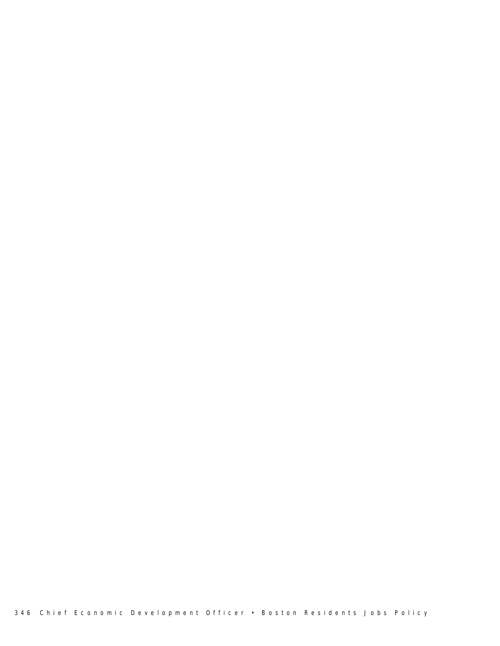346 Chief Economic Developm ent Officer • Boston Re sidents Jobs Policy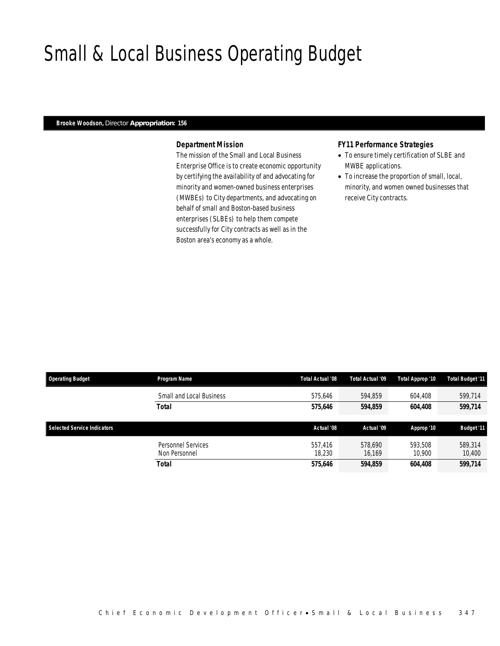# Small & Local Business Operating Budget

### *Brooke Woodson, Director Appropriation: 156*

## *Department Mission*

The mission of the Small and Local Business Enterprise Office is to create economic opportunity by certifying the availability of and advocating for minority and women-owned business enterprises (MWBEs) to City departments, and advocating on behalf of small and Boston-based business enterprises (SLBEs) to help them compete successfully for City contracts as well as in the Boston area's economy as a whole.

### *FY11 Performance Strategies*

- To ensure timely certification of SLBE and MWBE applications.
- To increase the proportion of small, local, minority, and women owned businesses that receive City contracts.

| <b>Operating Budget</b>     | Program Name                               | Total Actual '08  | Total Actual '09  | Total Approp '10  | <b>Total Budget '11</b> |
|-----------------------------|--------------------------------------------|-------------------|-------------------|-------------------|-------------------------|
|                             | Small and Local Business                   | 575.646           | 594,859           | 604,408           | 599,714                 |
|                             | Total                                      | 575.646           | 594,859           | 604,408           | 599,714                 |
| Selected Service Indicators |                                            | Actual '08        | Actual '09        | Approp '10        | <b>Budget '11</b>       |
|                             | <b>Personnel Services</b><br>Non Personnel | 557.416<br>18.230 | 578.690<br>16.169 | 593,508<br>10,900 | 589,314<br>10,400       |
|                             | Total                                      | 575,646           | 594,859           | 604,408           | 599,714                 |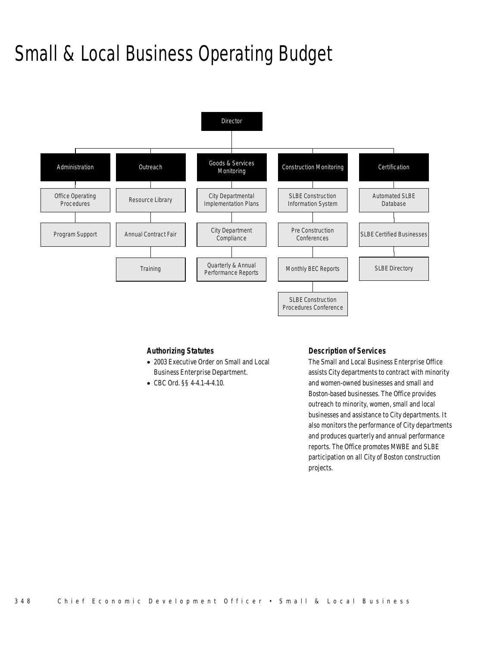# Small & Local Business Operating Budget



## *Authorizing Statutes*

- 2003 Executive Order on Small and Local Business Enterprise Department.
- CBC Ord. §§ 4-4.1-4-4.10.

#### *Description of Services*

The Small and Local Business Enterprise Office assists City departments to contract with minority and women-owned businesses and small and Boston-based businesses. The Office provides outreach to minority, women, small and local businesses and assistance to City departments. It also monitors the performance of City departments and produces quarterly and annual performance reports. The Office promotes MWBE and SLBE participation on all City of Boston construction projects.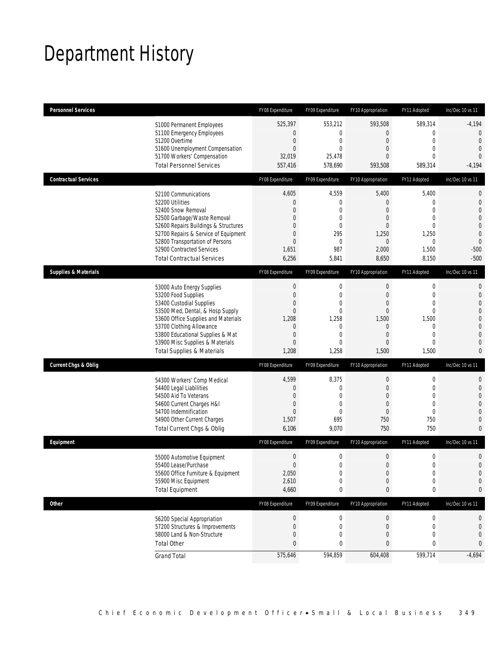# Department History

| <b>Personnel Services</b>       |                                                                     | FY08 Expenditure               | FY09 Expenditure            | FY10 Appropriation               | FY11 Adopted                 | Inc/Dec 10 vs 11                 |
|---------------------------------|---------------------------------------------------------------------|--------------------------------|-----------------------------|----------------------------------|------------------------------|----------------------------------|
|                                 | 51000 Permanent Employees                                           | 525,397                        | 553,212                     | 593,508                          | 589,314                      | $-4,194$                         |
|                                 | 51100 Emergency Employees                                           | 0                              | $\mathbf 0$                 | $\mathbf 0$                      | $\mathbf 0$                  | $\mathbf 0$                      |
|                                 | 51200 Overtime<br>51600 Unemployment Compensation                   | $\mathbf 0$<br>$\overline{0}$  | $\mathbf 0$<br>$\theta$     | $\boldsymbol{0}$<br>$\mathbf{0}$ | $\mathbf{0}$<br>$\mathbf{0}$ | $\overline{0}$<br>$\overline{0}$ |
|                                 | 51700 Workers' Compensation                                         | 32,019                         | 25,478                      | $\overline{0}$                   | $\mathbf{0}$                 | $\overline{0}$                   |
|                                 | <b>Total Personnel Services</b>                                     | 557,416                        | 578,690                     | 593,508                          | 589,314                      | -4,194                           |
| <b>Contractual Services</b>     |                                                                     | FY08 Expenditure               | FY09 Expenditure            | FY10 Appropriation               | FY11 Adopted                 | Inc/Dec 10 vs 11                 |
|                                 | 52100 Communications                                                | 4,605                          | 4,559                       | 5,400                            | 5,400                        | 0                                |
|                                 | 52200 Utilities                                                     | 0                              | $\mathbf 0$                 | $\mathbf 0$                      | $\mathbf 0$                  | $\mathbf 0$                      |
|                                 | 52400 Snow Removal                                                  | $\overline{0}$                 | $\mathbf{0}$                | $\overline{0}$                   | $\mathbf{0}$                 | $\overline{0}$                   |
|                                 | 52500 Garbage/Waste Removal<br>52600 Repairs Buildings & Structures | $\overline{0}$<br>$\mathbf{0}$ | $\mathbf{0}$<br>$\mathbf 0$ | $\mathbf{0}$<br>$\mathbf{0}$     | $\mathbf 0$<br>$\mathbf{0}$  | $\mathbf{0}$<br>$\mathbf 0$      |
|                                 | 52700 Repairs & Service of Equipment                                | $\mathbf{0}$                   | 295                         | 1,250                            | 1,250                        | $\mathbf{0}$                     |
|                                 | 52800 Transportation of Persons                                     | $\mathbf{0}$                   | $\mathbf 0$                 | 0                                | $\mathbf{0}$                 | $\theta$                         |
|                                 | 52900 Contracted Services                                           | 1,651                          | 987                         | 2,000                            | 1,500                        | $-500$                           |
|                                 | <b>Total Contractual Services</b>                                   | 6,256                          | 5,841                       | 8,650                            | 8,150                        | $-500$                           |
| <b>Supplies &amp; Materials</b> |                                                                     | FY08 Expenditure               | FY09 Expenditure            | FY10 Appropriation               | FY11 Adopted                 | Inc/Dec 10 vs 11                 |
|                                 | 53000 Auto Energy Supplies                                          | $\boldsymbol{0}$               | $\boldsymbol{0}$            | $\boldsymbol{0}$                 | $\mathbf 0$                  | $\mathbf{0}$                     |
|                                 | 53200 Food Supplies                                                 | $\overline{0}$                 | $\mathbf 0$                 | $\boldsymbol{0}$                 | $\mathbf{0}$                 | $\mathbf{0}$                     |
|                                 | 53400 Custodial Supplies                                            | $\mathbf{0}$                   | $\mathbf 0$                 | $\mathbf{0}$                     | $\mathbf{0}$                 | $\overline{0}$                   |
|                                 | 53500 Med, Dental, & Hosp Supply                                    | $\overline{0}$                 | $\mathbf{0}$                | $\boldsymbol{0}$                 | $\mathbf{0}$                 | $\mathbf{0}$                     |
|                                 | 53600 Office Supplies and Materials                                 | 1,208                          | 1,258                       | 1,500                            | 1,500                        | $\mathbf 0$<br>$\overline{0}$    |
|                                 | 53700 Clothing Allowance<br>53800 Educational Supplies & Mat        | 0<br>0                         | $\mathbf 0$<br>$\mathbf 0$  | $\mathbf 0$<br>$\mathbf{0}$      | $\mathbf 0$<br>$\mathbf{0}$  | $\overline{0}$                   |
|                                 | 53900 Misc Supplies & Materials                                     | $\overline{0}$                 | $\mathbf{0}$                | $\overline{0}$                   | $\mathbf{0}$                 | $\overline{0}$                   |
|                                 | <b>Total Supplies &amp; Materials</b>                               | 1,208                          | 1,258                       | 1,500                            | 1,500                        | $\mathbf{0}$                     |
| <b>Current Chgs &amp; Oblig</b> |                                                                     | FY08 Expenditure               | FY09 Expenditure            | FY10 Appropriation               | FY11 Adopted                 | Inc/Dec 10 vs 11                 |
|                                 | 54300 Workers' Comp Medical                                         | 4,599                          | 8,375                       | $\boldsymbol{0}$                 | $\mathbf 0$                  | $\mathbf 0$                      |
|                                 | 54400 Legal Liabilities                                             | 0                              | $\mathbf 0$                 | $\boldsymbol{0}$                 | $\mathbf{0}$                 | $\mathbf 0$                      |
|                                 | 54500 Aid To Veterans                                               | $\mathbf{0}$                   | $\mathbf{0}$                | $\mathbf{0}$                     | $\mathbf{0}$                 | $\overline{0}$                   |
|                                 | 54600 Current Charges H&I                                           | 0                              | $\mathbf{0}$                | $\mathbf{0}$                     | $\mathbf{0}$                 | $\overline{0}$                   |
|                                 | 54700 Indemnification                                               | $\mathbf{0}$                   | $\mathbf{0}$                | $\mathbf{0}$                     | $\mathbf{0}$                 | $\mathbf 0$                      |
|                                 | 54900 Other Current Charges                                         | 1,507                          | 695                         | 750                              | 750                          | $\mathbf{0}$                     |
|                                 | Total Current Chgs & Oblig                                          | 6,106                          | 9,070                       | 750                              | 750                          | $\mathbf{0}$                     |
| Equipment                       |                                                                     | FY08 Expenditure               | FY09 Expenditure            | FY10 Appropriation               | FY11 Adopted                 | Inc/Dec 10 vs 11                 |
|                                 | 55000 Automotive Equipment                                          | $\mathbf 0$                    | $\mathbf 0$                 | $\mathbf 0$                      | $\mathbf 0$                  | $\mathbf 0$                      |
|                                 | 55400 Lease/Purchase                                                | $\Omega$                       | $\Omega$                    | 0                                | $\Omega$                     | $\Omega$                         |
|                                 | 55600 Office Furniture & Equipment                                  | 2,050                          | $\boldsymbol{0}$            | $\boldsymbol{0}$                 | $\boldsymbol{0}$             | $\mathbf 0$                      |
|                                 | 55900 Misc Equipment                                                | 2,610                          | 0                           | 0                                | $\mathbf 0$                  | $\mathbf 0$                      |
|                                 | <b>Total Equipment</b>                                              | 4,660                          | 0                           | 0                                | $\boldsymbol{0}$             | 0                                |
| Other                           |                                                                     | FY08 Expenditure               | FY09 Expenditure            | FY10 Appropriation               | FY11 Adopted                 | Inc/Dec 10 vs 11                 |
|                                 | 56200 Special Appropriation                                         | $\boldsymbol{0}$               | 0                           | $\pmb{0}$                        | $\boldsymbol{0}$             | 0                                |
|                                 | 57200 Structures & Improvements                                     | 0                              | $\boldsymbol{0}$            | 0                                | $\mathbf 0$                  | $\theta$                         |
|                                 | 58000 Land & Non-Structure                                          | 0                              | $\mathbf 0$                 | 0                                | $\mathbf 0$                  | $\mathbf 0$                      |
|                                 | <b>Total Other</b>                                                  | 0                              | 0                           | 0                                | 0                            | 0                                |
|                                 | <b>Grand Total</b>                                                  | 575,646                        | 594,859                     | 604,408                          | 599,714                      | $-4,694$                         |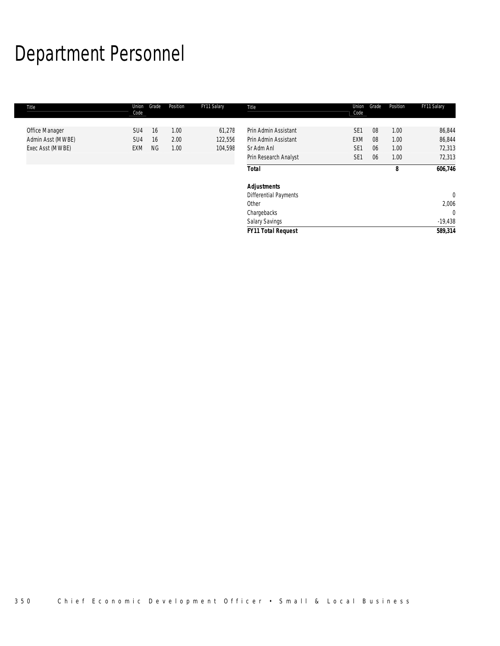# Department Personnel

| Title                               | Union<br>Code          | Grade    | Position     | FY11 Salary       | Title                                        | Union<br>Code                      | Grade    | Position     | FY11 Salary          |
|-------------------------------------|------------------------|----------|--------------|-------------------|----------------------------------------------|------------------------------------|----------|--------------|----------------------|
| Office Manager<br>Admin Asst (MWBE) | SU <sub>4</sub><br>SU4 | 16<br>16 | 1.00<br>2.00 | 61,278<br>122,556 | Prin Admin Assistant<br>Prin Admin Assistant | SE <sub>1</sub><br>EXM             | 08<br>08 | 1.00<br>1.00 | 86,844<br>86,844     |
| Exec Asst (MWBE)                    | EXM                    | NG       | 1.00         | 104,598           | Sr Adm Anl<br>Prin Research Analyst          | SE <sub>1</sub><br>SE <sub>1</sub> | 06<br>06 | 1.00<br>1.00 | 72,313<br>72,313     |
|                                     |                        |          |              |                   | <b>Total</b>                                 |                                    |          | 8            | 606,746              |
|                                     |                        |          |              |                   | <b>Adjustments</b><br>Differential Payments  |                                    |          |              | $\mathbf 0$          |
|                                     |                        |          |              |                   | Other<br>Chargebacks                         |                                    |          |              | 2,006<br>$\theta$    |
|                                     |                        |          |              |                   | Salary Savings<br><b>FY11 Total Request</b>  |                                    |          |              | $-19,438$<br>589,314 |